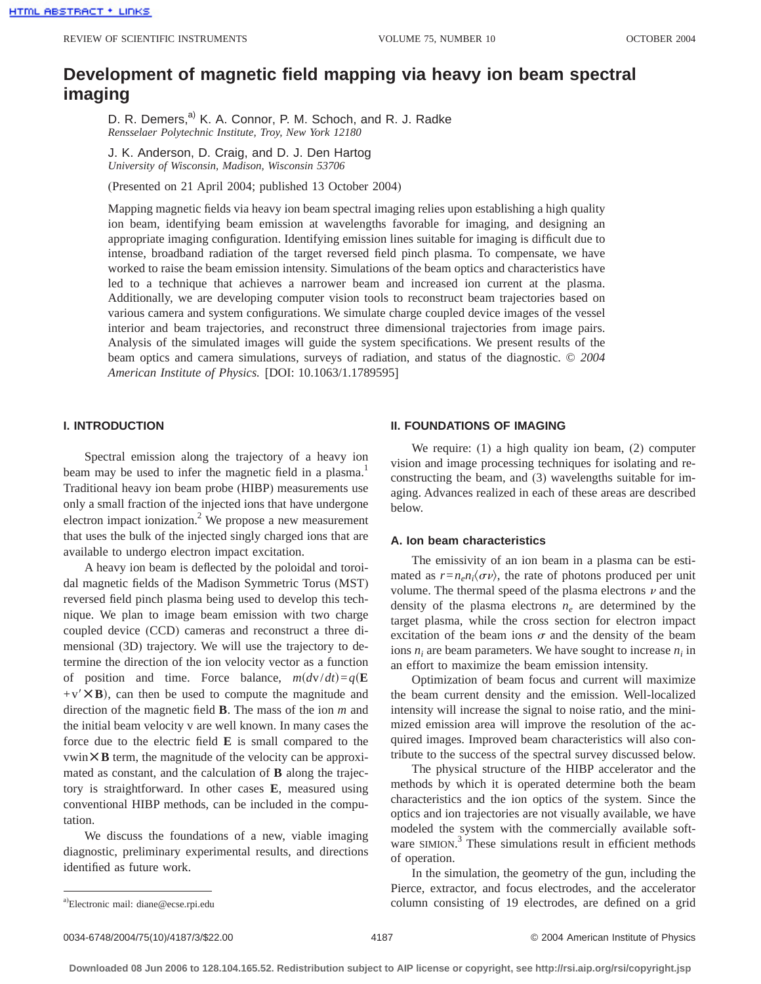# **Development of magnetic field mapping via heavy ion beam spectral imaging**

D. R. Demers,<sup>a)</sup> K. A. Connor, P. M. Schoch, and R. J. Radke *Rensselaer Polytechnic Institute, Troy, New York 12180*

J. K. Anderson, D. Craig, and D. J. Den Hartog *University of Wisconsin, Madison, Wisconsin 53706*

(Presented on 21 April 2004; published 13 October 2004)

Mapping magnetic fields via heavy ion beam spectral imaging relies upon establishing a high quality ion beam, identifying beam emission at wavelengths favorable for imaging, and designing an appropriate imaging configuration. Identifying emission lines suitable for imaging is difficult due to intense, broadband radiation of the target reversed field pinch plasma. To compensate, we have worked to raise the beam emission intensity. Simulations of the beam optics and characteristics have led to a technique that achieves a narrower beam and increased ion current at the plasma. Additionally, we are developing computer vision tools to reconstruct beam trajectories based on various camera and system configurations. We simulate charge coupled device images of the vessel interior and beam trajectories, and reconstruct three dimensional trajectories from image pairs. Analysis of the simulated images will guide the system specifications. We present results of the beam optics and camera simulations, surveys of radiation, and status of the diagnostic. © *2004 American Institute of Physics.* [DOI: 10.1063/1.1789595]

# **I. INTRODUCTION**

Spectral emission along the trajectory of a heavy ion beam may be used to infer the magnetic field in a plasma.<sup>1</sup> Traditional heavy ion beam probe (HIBP) measurements use only a small fraction of the injected ions that have undergone electron impact ionization.<sup>2</sup> We propose a new measurement that uses the bulk of the injected singly charged ions that are available to undergo electron impact excitation.

A heavy ion beam is deflected by the poloidal and toroidal magnetic fields of the Madison Symmetric Torus (MST) reversed field pinch plasma being used to develop this technique. We plan to image beam emission with two charge coupled device (CCD) cameras and reconstruct a three dimensional (3D) trajectory. We will use the trajectory to determine the direction of the ion velocity vector as a function of position and time. Force balance,  $m(dv/dt)=q(E)$  $+v' \times B$ , can then be used to compute the magnitude and direction of the magnetic field **B**. The mass of the ion *m* and the initial beam velocity v are well known. In many cases the force due to the electric field **E** is small compared to the  $vwin \times B$  term, the magnitude of the velocity can be approximated as constant, and the calculation of **B** along the trajectory is straightforward. In other cases **E**, measured using conventional HIBP methods, can be included in the computation.

We discuss the foundations of a new, viable imaging diagnostic, preliminary experimental results, and directions identified as future work.

## **II. FOUNDATIONS OF IMAGING**

We require: (1) a high quality ion beam, (2) computer vision and image processing techniques for isolating and reconstructing the beam, and (3) wavelengths suitable for imaging. Advances realized in each of these areas are described below.

# **A. Ion beam characteristics**

The emissivity of an ion beam in a plasma can be estimated as  $r = n_e n_i \langle \sigma \nu \rangle$ , the rate of photons produced per unit volume. The thermal speed of the plasma electrons  $\nu$  and the density of the plasma electrons  $n_e$  are determined by the target plasma, while the cross section for electron impact excitation of the beam ions  $\sigma$  and the density of the beam ions  $n_i$  are beam parameters. We have sought to increase  $n_i$  in an effort to maximize the beam emission intensity.

Optimization of beam focus and current will maximize the beam current density and the emission. Well-localized intensity will increase the signal to noise ratio, and the minimized emission area will improve the resolution of the acquired images. Improved beam characteristics will also contribute to the success of the spectral survey discussed below.

The physical structure of the HIBP accelerator and the methods by which it is operated determine both the beam characteristics and the ion optics of the system. Since the optics and ion trajectories are not visually available, we have modeled the system with the commercially available software SIMION.<sup>3</sup> These simulations result in efficient methods of operation.

In the simulation, the geometry of the gun, including the Pierce, extractor, and focus electrodes, and the accelerator column consisting of 19 electrodes, are defined on a grid

0034-6748/2004/75(10)/4187/3/\$22.00 4187 4187 4187 2004 American Institute of Physics

a)Electronic mail: diane@ecse.rpi.edu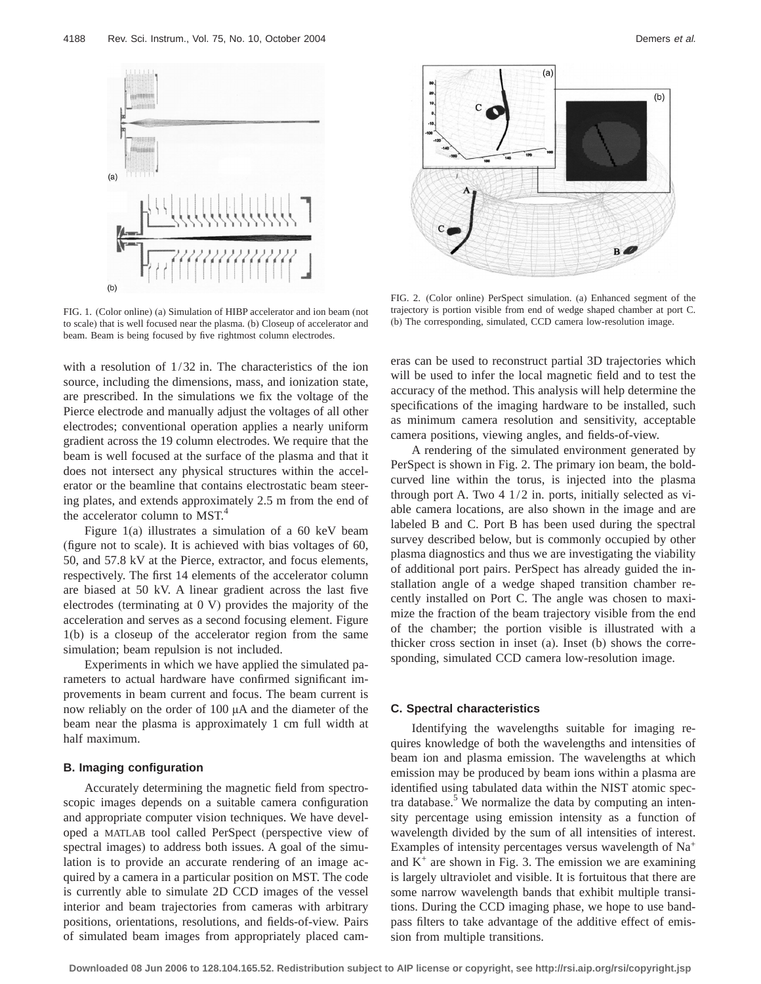

FIG. 1. (Color online) (a) Simulation of HIBP accelerator and ion beam (not to scale) that is well focused near the plasma. (b) Closeup of accelerator and beam. Beam is being focused by five rightmost column electrodes.

with a resolution of 1/32 in. The characteristics of the ion source, including the dimensions, mass, and ionization state, are prescribed. In the simulations we fix the voltage of the Pierce electrode and manually adjust the voltages of all other electrodes; conventional operation applies a nearly uniform gradient across the 19 column electrodes. We require that the beam is well focused at the surface of the plasma and that it does not intersect any physical structures within the accelerator or the beamline that contains electrostatic beam steering plates, and extends approximately 2.5 m from the end of the accelerator column to MST.<sup>4</sup>

Figure 1(a) illustrates a simulation of a 60 keV beam (figure not to scale). It is achieved with bias voltages of 60, 50, and 57.8 kV at the Pierce, extractor, and focus elements, respectively. The first 14 elements of the accelerator column are biased at 50 kV. A linear gradient across the last five electrodes (terminating at 0 V) provides the majority of the acceleration and serves as a second focusing element. Figure 1(b) is a closeup of the accelerator region from the same simulation; beam repulsion is not included.

Experiments in which we have applied the simulated parameters to actual hardware have confirmed significant improvements in beam current and focus. The beam current is now reliably on the order of 100 µA and the diameter of the beam near the plasma is approximately 1 cm full width at half maximum.

# **B. Imaging configuration**

Accurately determining the magnetic field from spectroscopic images depends on a suitable camera configuration and appropriate computer vision techniques. We have developed a MATLAB tool called PerSpect (perspective view of spectral images) to address both issues. A goal of the simulation is to provide an accurate rendering of an image acquired by a camera in a particular position on MST. The code is currently able to simulate 2D CCD images of the vessel interior and beam trajectories from cameras with arbitrary positions, orientations, resolutions, and fields-of-view. Pairs of simulated beam images from appropriately placed cam-



FIG. 2. (Color online) PerSpect simulation. (a) Enhanced segment of the trajectory is portion visible from end of wedge shaped chamber at port C. (b) The corresponding, simulated, CCD camera low-resolution image.

eras can be used to reconstruct partial 3D trajectories which will be used to infer the local magnetic field and to test the accuracy of the method. This analysis will help determine the specifications of the imaging hardware to be installed, such as minimum camera resolution and sensitivity, acceptable camera positions, viewing angles, and fields-of-view.

A rendering of the simulated environment generated by PerSpect is shown in Fig. 2. The primary ion beam, the boldcurved line within the torus, is injected into the plasma through port A. Two 4 1/2 in. ports, initially selected as viable camera locations, are also shown in the image and are labeled B and C. Port B has been used during the spectral survey described below, but is commonly occupied by other plasma diagnostics and thus we are investigating the viability of additional port pairs. PerSpect has already guided the installation angle of a wedge shaped transition chamber recently installed on Port C. The angle was chosen to maximize the fraction of the beam trajectory visible from the end of the chamber; the portion visible is illustrated with a thicker cross section in inset (a). Inset (b) shows the corresponding, simulated CCD camera low-resolution image.

#### **C. Spectral characteristics**

Identifying the wavelengths suitable for imaging requires knowledge of both the wavelengths and intensities of beam ion and plasma emission. The wavelengths at which emission may be produced by beam ions within a plasma are identified using tabulated data within the NIST atomic spectra database. $5$  We normalize the data by computing an intensity percentage using emission intensity as a function of wavelength divided by the sum of all intensities of interest. Examples of intensity percentages versus wavelength of Na+ and  $K^+$  are shown in Fig. 3. The emission we are examining is largely ultraviolet and visible. It is fortuitous that there are some narrow wavelength bands that exhibit multiple transitions. During the CCD imaging phase, we hope to use bandpass filters to take advantage of the additive effect of emission from multiple transitions.